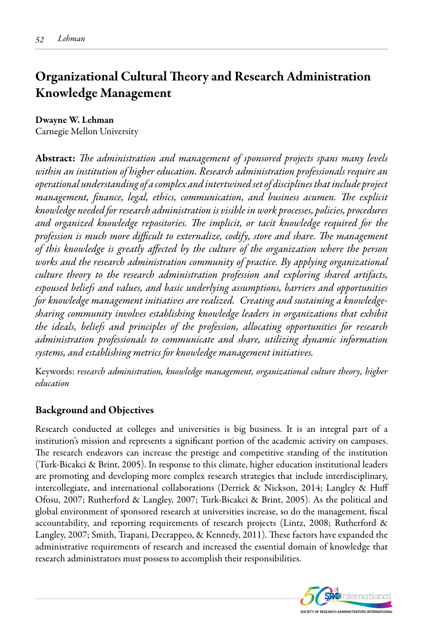# Organizational Cultural Theory and Research Administration Knowledge Management

#### Dwayne W. Lehman

Carnegie Mellon University

Abstract: *The administration and management of sponsored projects spans many levels within an institution of higher education. Research administration professionals require an operational understanding of a complex and intertwined set of disciplines that include project management, finance, legal, ethics, communication, and business acumen. The explicit knowledge needed for research administration is visible in work processes, policies, procedures and organized knowledge repositories. The implicit, or tacit knowledge required for the profession is much more difficult to externalize, codify, store and share. The management of this knowledge is greatly affected by the culture of the organization where the person works and the research administration community of practice. By applying organizational culture theory to the research administration profession and exploring shared artifacts, espoused beliefs and values, and basic underlying assumptions, barriers and opportunities for knowledge management initiatives are realized. Creating and sustaining a knowledgesharing community involves establishing knowledge leaders in organizations that exhibit the ideals, beliefs and principles of the profession, allocating opportunities for research administration professionals to communicate and share, utilizing dynamic information systems, and establishing metrics for knowledge management initiatives.*

Keywords: *research administration, knowledge management, organizational culture theory, higher education*

## Background and Objectives

Research conducted at colleges and universities is big business. It is an integral part of a institution's mission and represents a significant portion of the academic activity on campuses. The research endeavors can increase the prestige and competitive standing of the institution (Turk-Bicakci & Brint, 2005). In response to this climate, higher education institutional leaders are promoting and developing more complex research strategies that include interdisciplinary, intercollegiate, and international collaborations (Derrick & Nickson, 2014; Langley & Huff Ofosu, 2007; Rutherford & Langley, 2007; Turk-Bicakci & Brint, 2005). As the political and global environment of sponsored research at universities increase, so do the management, fiscal accountability, and reporting requirements of research projects (Lintz, 2008; Rutherford & Langley, 2007; Smith, Trapani, Decrappeo, & Kennedy, 2011). These factors have expanded the administrative requirements of research and increased the essential domain of knowledge that research administrators must possess to accomplish their responsibilities.

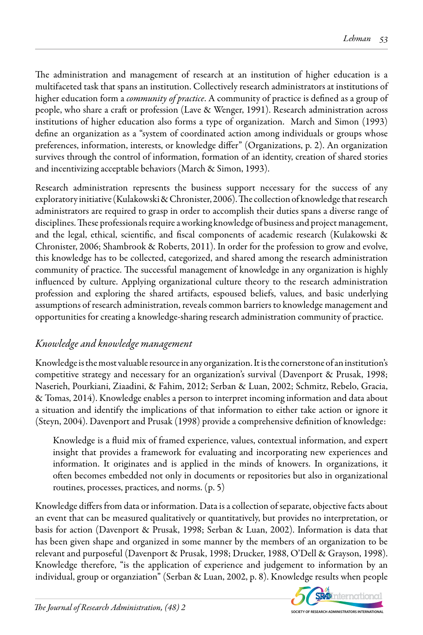The administration and management of research at an institution of higher education is a multifaceted task that spans an institution. Collectively research administrators at institutions of higher education form a *community of practice*. A community of practice is defined as a group of people, who share a craft or profession (Lave & Wenger, 1991). Research administration across institutions of higher education also forms a type of organization. March and Simon (1993) define an organization as a "system of coordinated action among individuals or groups whose preferences, information, interests, or knowledge differ" (Organizations, p. 2). An organization survives through the control of information, formation of an identity, creation of shared stories and incentivizing acceptable behaviors (March & Simon, 1993).

Research administration represents the business support necessary for the success of any exploratory initiative (Kulakowski & Chronister, 2006). The collection of knowledge that research administrators are required to grasp in order to accomplish their duties spans a diverse range of disciplines. These professionals require a working knowledge of business and project management, and the legal, ethical, scientific, and fiscal components of academic research (Kulakowski & Chronister, 2006; Shambrook & Roberts, 2011). In order for the profession to grow and evolve, this knowledge has to be collected, categorized, and shared among the research administration community of practice. The successful management of knowledge in any organization is highly influenced by culture. Applying organizational culture theory to the research administration profession and exploring the shared artifacts, espoused beliefs, values, and basic underlying assumptions of research administration, reveals common barriers to knowledge management and opportunities for creating a knowledge-sharing research administration community of practice.

## *Knowledge and knowledge management*

Knowledge is the most valuable resource in any organization. It is the cornerstone of an institution's competitive strategy and necessary for an organization's survival (Davenport & Prusak, 1998; Naserieh, Pourkiani, Ziaadini, & Fahim, 2012; Serban & Luan, 2002; Schmitz, Rebelo, Gracia, & Tomas, 2014). Knowledge enables a person to interpret incoming information and data about a situation and identify the implications of that information to either take action or ignore it (Steyn, 2004). Davenport and Prusak (1998) provide a comprehensive definition of knowledge:

Knowledge is a fluid mix of framed experience, values, contextual information, and expert insight that provides a framework for evaluating and incorporating new experiences and information. It originates and is applied in the minds of knowers. In organizations, it often becomes embedded not only in documents or repositories but also in organizational routines, processes, practices, and norms. (p. 5)

Knowledge differs from data or information. Data is a collection of separate, objective facts about an event that can be measured qualitatively or quantitatively, but provides no interpretation, or basis for action (Davenport & Prusak, 1998; Serban & Luan, 2002). Information is data that has been given shape and organized in some manner by the members of an organization to be relevant and purposeful (Davenport & Prusak, 1998; Drucker, 1988, O'Dell & Grayson, 1998). Knowledge therefore, "is the application of experience and judgement to information by an individual, group or organziation" (Serban & Luan, 2002, p. 8). Knowledge results when people

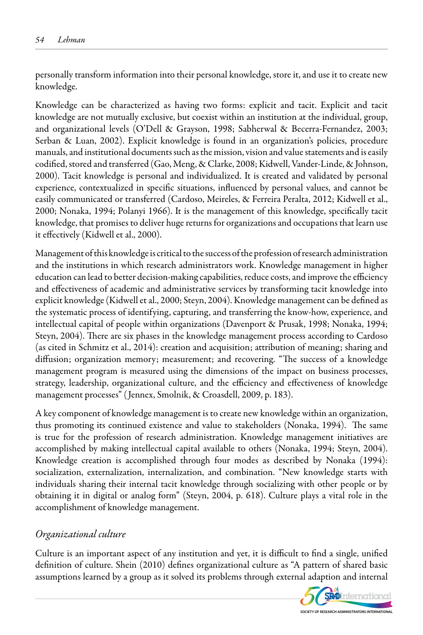personally transform information into their personal knowledge, store it, and use it to create new knowledge.

Knowledge can be characterized as having two forms: explicit and tacit. Explicit and tacit knowledge are not mutually exclusive, but coexist within an institution at the individual, group, and organizational levels (O'Dell & Grayson, 1998; Sabherwal & Becerra-Fernandez, 2003; Serban & Luan, 2002). Explicit knowledge is found in an organization's policies, procedure manuals, and institutional documents such as the mission, vision and value statements and is easily codified, stored and transferred (Gao, Meng, & Clarke, 2008; Kidwell, Vander-Linde, & Johnson, 2000). Tacit knowledge is personal and individualized. It is created and validated by personal experience, contextualized in specific situations, influenced by personal values, and cannot be easily communicated or transferred (Cardoso, Meireles, & Ferreira Peralta, 2012; Kidwell et al., 2000; Nonaka, 1994; Polanyi 1966). It is the management of this knowledge, specifically tacit knowledge, that promises to deliver huge returns for organizations and occupations that learn use it effectively (Kidwell et al., 2000).

Management of this knowledge is critical to the success of the profession of research administration and the institutions in which research administrators work. Knowledge management in higher education can lead to better decision-making capabilities, reduce costs, and improve the efficiency and effectiveness of academic and administrative services by transforming tacit knowledge into explicit knowledge (Kidwell et al., 2000; Steyn, 2004). Knowledge management can be defined as the systematic process of identifying, capturing, and transferring the know-how, experience, and intellectual capital of people within organizations (Davenport & Prusak, 1998; Nonaka, 1994; Steyn, 2004). There are six phases in the knowledge management process according to Cardoso (as cited in Schmitz et al., 2014): creation and acquisition; attribution of meaning; sharing and diffusion; organization memory; measurement; and recovering. "The success of a knowledge management program is measured using the dimensions of the impact on business processes, strategy, leadership, organizational culture, and the efficiency and effectiveness of knowledge management processes" ( Jennex, Smolnik, & Croasdell, 2009, p. 183).

A key component of knowledge management is to create new knowledge within an organization, thus promoting its continued existence and value to stakeholders (Nonaka, 1994). The same is true for the profession of research administration. Knowledge management initiatives are accomplished by making intellectual capital available to others (Nonaka, 1994; Steyn, 2004). Knowledge creation is accomplished through four modes as described by Nonaka (1994): socialization, externalization, internalization, and combination. "New knowledge starts with individuals sharing their internal tacit knowledge through socializing with other people or by obtaining it in digital or analog form" (Steyn, 2004, p. 618). Culture plays a vital role in the accomplishment of knowledge management.

### *Organizational culture*

Culture is an important aspect of any institution and yet, it is difficult to find a single, unified definition of culture. Shein (2010) defines organizational culture as "A pattern of shared basic assumptions learned by a group as it solved its problems through external adaption and internal

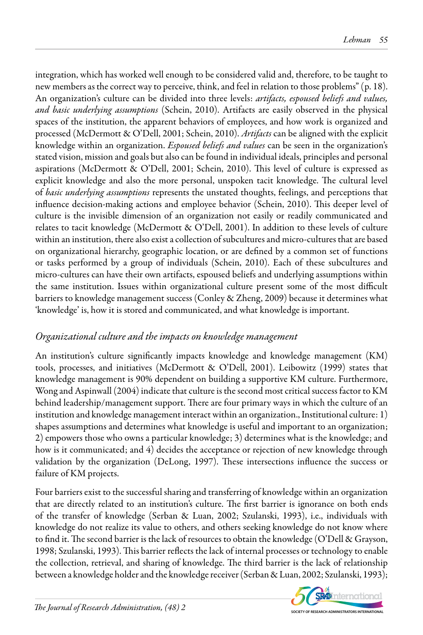integration, which has worked well enough to be considered valid and, therefore, to be taught to new members as the correct way to perceive, think, and feel in relation to those problems" (p. 18). An organization's culture can be divided into three levels: *artifacts, espoused beliefs and values, and basic underlying assumptions* (Schein, 2010). Artifacts are easily observed in the physical spaces of the institution, the apparent behaviors of employees, and how work is organized and processed (McDermott & O'Dell, 2001; Schein, 2010). *Artifacts* can be aligned with the explicit knowledge within an organization. *Espoused beliefs and values* can be seen in the organization's stated vision, mission and goals but also can be found in individual ideals, principles and personal aspirations (McDermott & O'Dell, 2001; Schein, 2010). This level of culture is expressed as explicit knowledge and also the more personal, unspoken tacit knowledge. The cultural level of *basic underlying assumptions* represents the unstated thoughts, feelings, and perceptions that influence decision-making actions and employee behavior (Schein, 2010). This deeper level of culture is the invisible dimension of an organization not easily or readily communicated and relates to tacit knowledge (McDermott & O'Dell, 2001). In addition to these levels of culture within an institution, there also exist a collection of subcultures and micro-cultures that are based on organizational hierarchy, geographic location, or are defined by a common set of functions or tasks performed by a group of individuals (Schein, 2010). Each of these subcultures and micro-cultures can have their own artifacts, espoused beliefs and underlying assumptions within the same institution. Issues within organizational culture present some of the most difficult barriers to knowledge management success (Conley & Zheng, 2009) because it determines what 'knowledge' is, how it is stored and communicated, and what knowledge is important.

## *Organizational culture and the impacts on knowledge management*

An institution's culture significantly impacts knowledge and knowledge management (KM) tools, processes, and initiatives (McDermott & O'Dell, 2001). Leibowitz (1999) states that knowledge management is 90% dependent on building a supportive KM culture. Furthermore, Wong and Aspinwall (2004) indicate that culture is the second most critical success factor to KM behind leadership/management support. There are four primary ways in which the culture of an institution and knowledge management interact within an organization., Institutional culture: 1) shapes assumptions and determines what knowledge is useful and important to an organization; 2) empowers those who owns a particular knowledge; 3) determines what is the knowledge; and how is it communicated; and 4) decides the acceptance or rejection of new knowledge through validation by the organization (DeLong, 1997). These intersections influence the success or failure of KM projects.

Four barriers exist to the successful sharing and transferring of knowledge within an organization that are directly related to an institution's culture. The first barrier is ignorance on both ends of the transfer of knowledge (Serban & Luan, 2002; Szulanski, 1993), i.e., individuals with knowledge do not realize its value to others, and others seeking knowledge do not know where to find it. The second barrier is the lack of resources to obtain the knowledge (O'Dell & Grayson, 1998; Szulanski, 1993). This barrier reflects the lack of internal processes or technology to enable the collection, retrieval, and sharing of knowledge. The third barrier is the lack of relationship between a knowledge holder and the knowledge receiver (Serban & Luan, 2002; Szulanski, 1993);

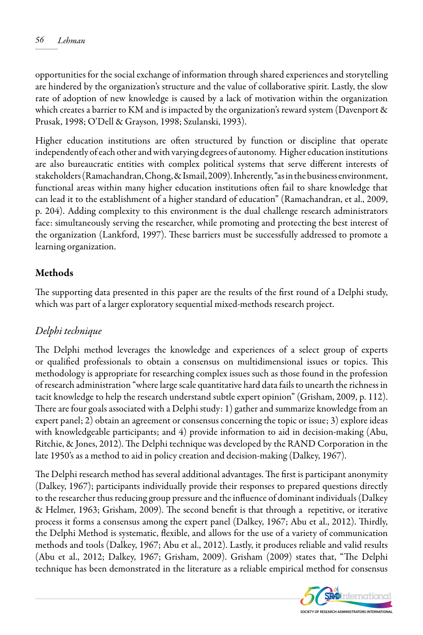opportunities for the social exchange of information through shared experiences and storytelling are hindered by the organization's structure and the value of collaborative spirit. Lastly, the slow rate of adoption of new knowledge is caused by a lack of motivation within the organization which creates a barrier to KM and is impacted by the organization's reward system (Davenport  $\&$ Prusak, 1998; O'Dell & Grayson, 1998; Szulanski, 1993).

Higher education institutions are often structured by function or discipline that operate independently of each other and with varying degrees of autonomy. Higher education institutions are also bureaucratic entities with complex political systems that serve different interests of stakeholders (Ramachandran, Chong, & Ismail, 2009). Inherently, "as in the business environment, functional areas within many higher education institutions often fail to share knowledge that can lead it to the establishment of a higher standard of education" (Ramachandran, et al., 2009, p. 204). Adding complexity to this environment is the dual challenge research administrators face: simultaneously serving the researcher, while promoting and protecting the best interest of the organization (Lankford, 1997). These barriers must be successfully addressed to promote a learning organization.

### Methods

The supporting data presented in this paper are the results of the first round of a Delphi study, which was part of a larger exploratory sequential mixed-methods research project.

### *Delphi technique*

The Delphi method leverages the knowledge and experiences of a select group of experts or qualified professionals to obtain a consensus on multidimensional issues or topics. This methodology is appropriate for researching complex issues such as those found in the profession of research administration "where large scale quantitative hard data fails to unearth the richness in tacit knowledge to help the research understand subtle expert opinion" (Grisham, 2009, p. 112). There are four goals associated with a Delphi study: 1) gather and summarize knowledge from an expert panel; 2) obtain an agreement or consensus concerning the topic or issue; 3) explore ideas with knowledgeable participants; and 4) provide information to aid in decision-making (Abu, Ritchie, & Jones, 2012). The Delphi technique was developed by the RAND Corporation in the late 1950's as a method to aid in policy creation and decision-making (Dalkey, 1967).

The Delphi research method has several additional advantages. The first is participant anonymity (Dalkey, 1967); participants individually provide their responses to prepared questions directly to the researcher thus reducing group pressure and the influence of dominant individuals (Dalkey & Helmer, 1963; Grisham, 2009). The second benefit is that through a repetitive, or iterative process it forms a consensus among the expert panel (Dalkey, 1967; Abu et al., 2012). Thirdly, the Delphi Method is systematic, flexible, and allows for the use of a variety of communication methods and tools (Dalkey, 1967; Abu et al., 2012). Lastly, it produces reliable and valid results (Abu et al., 2012; Dalkey, 1967; Grisham, 2009). Grisham (2009) states that, "The Delphi technique has been demonstrated in the literature as a reliable empirical method for consensus

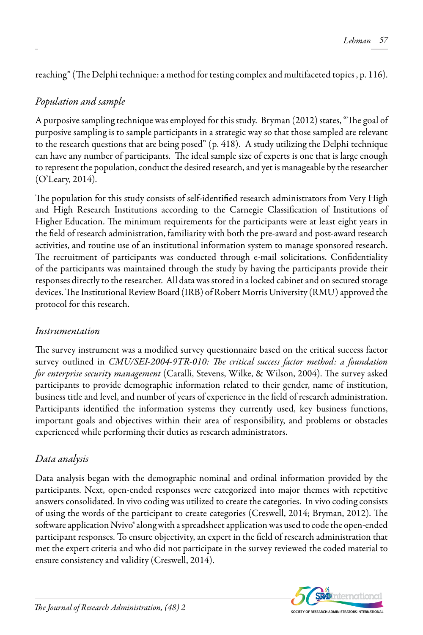reaching" (The Delphi technique: a method for testing complex and multifaceted topics , p. 116).

## *Population and sample*

A purposive sampling technique was employed for this study. Bryman (2012) states, "The goal of purposive sampling is to sample participants in a strategic way so that those sampled are relevant to the research questions that are being posed" (p. 418). A study utilizing the Delphi technique can have any number of participants. The ideal sample size of experts is one that is large enough to represent the population, conduct the desired research, and yet is manageable by the researcher (O'Leary, 2014).

The population for this study consists of self-identified research administrators from Very High and High Research Institutions according to the Carnegie Classification of Institutions of Higher Education. The minimum requirements for the participants were at least eight years in the field of research administration, familiarity with both the pre-award and post-award research activities, and routine use of an institutional information system to manage sponsored research. The recruitment of participants was conducted through e-mail solicitations. Confidentiality of the participants was maintained through the study by having the participants provide their responses directly to the researcher. All data was stored in a locked cabinet and on secured storage devices. The Institutional Review Board (IRB) of Robert Morris University (RMU) approved the protocol for this research.

## *Instrumentation*

The survey instrument was a modified survey questionnaire based on the critical success factor survey outlined in *CMU/SEI-2004-9TR-010: The critical success factor method: a foundation for enterprise security management* (Caralli, Stevens, Wilke, & Wilson, 2004). The survey asked participants to provide demographic information related to their gender, name of institution, business title and level, and number of years of experience in the field of research administration. Participants identified the information systems they currently used, key business functions, important goals and objectives within their area of responsibility, and problems or obstacles experienced while performing their duties as research administrators.

## *Data analysis*

Data analysis began with the demographic nominal and ordinal information provided by the participants. Next, open-ended responses were categorized into major themes with repetitive answers consolidated. In vivo coding was utilized to create the categories. In vivo coding consists of using the words of the participant to create categories (Creswell, 2014; Bryman, 2012). The software application Nvivo<sup>®</sup> along with a spreadsheet application was used to code the open-ended participant responses. To ensure objectivity, an expert in the field of research administration that met the expert criteria and who did not participate in the survey reviewed the coded material to ensure consistency and validity (Creswell, 2014).

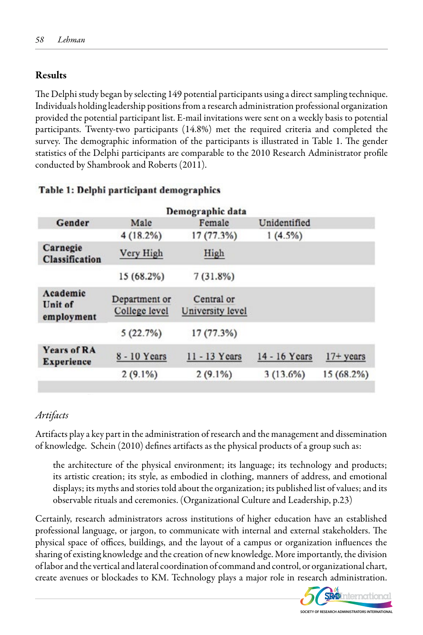### Results

The Delphi study began by selecting 149 potential participants using a direct sampling technique. Individuals holding leadership positions from a research administration professional organization provided the potential participant list. E-mail invitations were sent on a weekly basis to potential participants. Twenty-two participants (14.8%) met the required criteria and completed the survey. The demographic information of the participants is illustrated in Table 1. The gender statistics of the Delphi participants are comparable to the 2010 Research Administrator profile conducted by Shambrook and Roberts (2011).

| Demographic data                        |                                |                                |               |             |  |
|-----------------------------------------|--------------------------------|--------------------------------|---------------|-------------|--|
| Gender                                  | Male                           | Female                         | Unidentified  |             |  |
|                                         | 4(18.2%)                       | 17 (77.3%)                     | 1(4.5%)       |             |  |
| Carnegie<br><b>Classification</b>       | Very High                      | High                           |               |             |  |
|                                         | 15 (68.2%)                     | 7(31.8%)                       |               |             |  |
| Academic<br>Unit of<br>employment       | Department or<br>College level | Central or<br>University level |               |             |  |
|                                         | 5(22.7%)                       | 17 (77.3%)                     |               |             |  |
| <b>Years of RA</b><br><b>Experience</b> | 8 - 10 Years                   | 11 - 13 Years                  | 14 - 16 Years | $17+$ years |  |
|                                         | $2(9.1\%)$                     | $2(9.1\%)$                     | 3(13.6%)      | 15(68.2%)   |  |

### Table 1: Delphi participant demographics

### *Artifacts*

Artifacts play a key part in the administration of research and the management and dissemination of knowledge. Schein (2010) defines artifacts as the physical products of a group such as:

the architecture of the physical environment; its language; its technology and products; its artistic creation; its style, as embodied in clothing, manners of address, and emotional displays; its myths and stories told about the organization; its published list of values; and its observable rituals and ceremonies. (Organizational Culture and Leadership, p.23)

Certainly, research administrators across institutions of higher education have an established professional language, or jargon, to communicate with internal and external stakeholders. The physical space of offices, buildings, and the layout of a campus or organization influences the sharing of existing knowledge and the creation of new knowledge. More importantly, the division of labor and the vertical and lateral coordination of command and control, or organizational chart, create avenues or blockades to KM. Technology plays a major role in research administration.

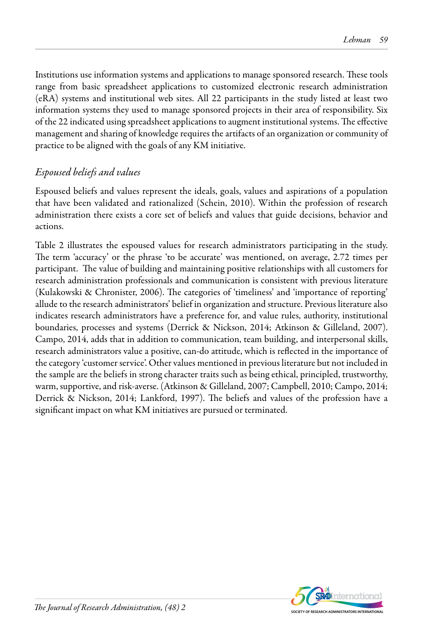Institutions use information systems and applications to manage sponsored research. These tools range from basic spreadsheet applications to customized electronic research administration (eRA) systems and institutional web sites. All 22 participants in the study listed at least two information systems they used to manage sponsored projects in their area of responsibility. Six of the 22 indicated using spreadsheet applications to augment institutional systems. The effective management and sharing of knowledge requires the artifacts of an organization or community of practice to be aligned with the goals of any KM initiative.

## *Espoused beliefs and values*

Espoused beliefs and values represent the ideals, goals, values and aspirations of a population that have been validated and rationalized (Schein, 2010). Within the profession of research administration there exists a core set of beliefs and values that guide decisions, behavior and actions.

Table 2 illustrates the espoused values for research administrators participating in the study. The term 'accuracy' or the phrase 'to be accurate' was mentioned, on average, 2.72 times per participant. The value of building and maintaining positive relationships with all customers for research administration professionals and communication is consistent with previous literature (Kulakowski & Chronister, 2006). The categories of 'timeliness' and 'importance of reporting' allude to the research administrators' belief in organization and structure. Previous literature also indicates research administrators have a preference for, and value rules, authority, institutional boundaries, processes and systems (Derrick & Nickson, 2014; Atkinson & Gilleland, 2007). Campo, 2014, adds that in addition to communication, team building, and interpersonal skills, research administrators value a positive, can-do attitude, which is reflected in the importance of the category 'customer service'. Other values mentioned in previous literature but not included in the sample are the beliefs in strong character traits such as being ethical, principled, trustworthy, warm, supportive, and risk-averse. (Atkinson & Gilleland, 2007; Campbell, 2010; Campo, 2014; Derrick & Nickson, 2014; Lankford, 1997). The beliefs and values of the profession have a significant impact on what KM initiatives are pursued or terminated.

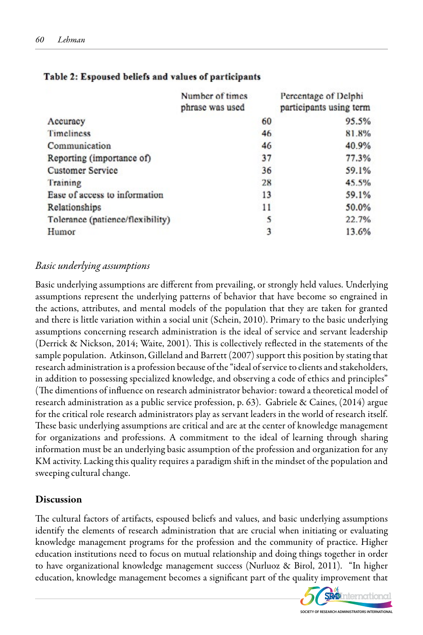|                                  | Number of times<br>phrase was used | Percentage of Delphi<br>participants using term |  |
|----------------------------------|------------------------------------|-------------------------------------------------|--|
| Accuracy                         | 60                                 | 95.5%                                           |  |
| Timeliness                       | 46                                 | 81.8%                                           |  |
| Communication                    | 46                                 | 40.9%                                           |  |
| Reporting (importance of)        | 37                                 | 77.3%                                           |  |
| <b>Customer Service</b>          | 36                                 | 59.1%                                           |  |
| Training                         | 28                                 | 45.5%                                           |  |
| Ease of access to information    | 13                                 | 59.1%                                           |  |
| Relationships                    | 11                                 | 50.0%                                           |  |
| Tolerance (patience/flexibility) | 5                                  | 22.7%                                           |  |
| Humor                            | 3                                  | 13.6%                                           |  |

#### Table 2: Espoused beliefs and values of participants

#### *Basic underlying assumptions*

Basic underlying assumptions are different from prevailing, or strongly held values. Underlying assumptions represent the underlying patterns of behavior that have become so engrained in the actions, attributes, and mental models of the population that they are taken for granted and there is little variation within a social unit (Schein, 2010). Primary to the basic underlying assumptions concerning research administration is the ideal of service and servant leadership (Derrick & Nickson, 2014; Waite, 2001). This is collectively reflected in the statements of the sample population. Atkinson, Gilleland and Barrett (2007) support this position by stating that research administration is a profession because of the "ideal of service to clients and stakeholders, in addition to possessing specialized knowledge, and observing a code of ethics and principles" (The dimentions of influence on research administrator behavior: toward a theoretical model of research administration as a public service profession, p. 63). Gabriele & Caines, (2014) argue for the critical role research administrators play as servant leaders in the world of research itself. These basic underlying assumptions are critical and are at the center of knowledge management for organizations and professions. A commitment to the ideal of learning through sharing information must be an underlying basic assumption of the profession and organization for any KM activity. Lacking this quality requires a paradigm shift in the mindset of the population and sweeping cultural change.

#### Discussion

The cultural factors of artifacts, espoused beliefs and values, and basic underlying assumptions identify the elements of research administration that are crucial when initiating or evaluating knowledge management programs for the profession and the community of practice. Higher education institutions need to focus on mutual relationship and doing things together in order to have organizational knowledge management success (Nurluoz & Birol, 2011). "In higher education, knowledge management becomes a significant part of the quality improvement that

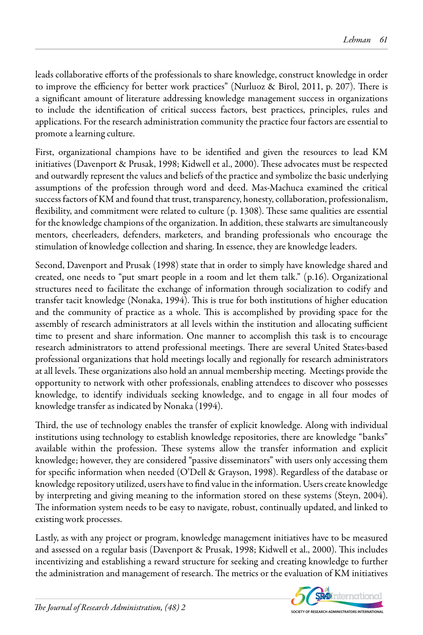leads collaborative efforts of the professionals to share knowledge, construct knowledge in order to improve the efficiency for better work practices" (Nurluoz & Birol, 2011, p. 207). There is a significant amount of literature addressing knowledge management success in organizations to include the identification of critical success factors, best practices, principles, rules and applications. For the research administration community the practice four factors are essential to promote a learning culture.

First, organizational champions have to be identified and given the resources to lead KM initiatives (Davenport & Prusak, 1998; Kidwell et al., 2000). These advocates must be respected and outwardly represent the values and beliefs of the practice and symbolize the basic underlying assumptions of the profession through word and deed. Mas-Machuca examined the critical success factors of KM and found that trust, transparency, honesty, collaboration, professionalism, flexibility, and commitment were related to culture (p. 1308). These same qualities are essential for the knowledge champions of the organization. In addition, these stalwarts are simultaneously mentors, cheerleaders, defenders, marketers, and branding professionals who encourage the stimulation of knowledge collection and sharing. In essence, they are knowledge leaders.

Second, Davenport and Prusak (1998) state that in order to simply have knowledge shared and created, one needs to "put smart people in a room and let them talk." (p.16). Organizational structures need to facilitate the exchange of information through socialization to codify and transfer tacit knowledge (Nonaka, 1994). This is true for both institutions of higher education and the community of practice as a whole. This is accomplished by providing space for the assembly of research administrators at all levels within the institution and allocating sufficient time to present and share information. One manner to accomplish this task is to encourage research administrators to attend professional meetings. There are several United States-based professional organizations that hold meetings locally and regionally for research administrators at all levels. These organizations also hold an annual membership meeting. Meetings provide the opportunity to network with other professionals, enabling attendees to discover who possesses knowledge, to identify individuals seeking knowledge, and to engage in all four modes of knowledge transfer as indicated by Nonaka (1994).

Third, the use of technology enables the transfer of explicit knowledge. Along with individual institutions using technology to establish knowledge repositories, there are knowledge "banks" available within the profession. These systems allow the transfer information and explicit knowledge; however, they are considered "passive disseminators" with users only accessing them for specific information when needed (O'Dell & Grayson, 1998). Regardless of the database or knowledge repository utilized, users have to find value in the information. Users create knowledge by interpreting and giving meaning to the information stored on these systems (Steyn, 2004). The information system needs to be easy to navigate, robust, continually updated, and linked to existing work processes.

Lastly, as with any project or program, knowledge management initiatives have to be measured and assessed on a regular basis (Davenport & Prusak, 1998; Kidwell et al., 2000). This includes incentivizing and establishing a reward structure for seeking and creating knowledge to further the administration and management of research. The metrics or the evaluation of KM initiatives

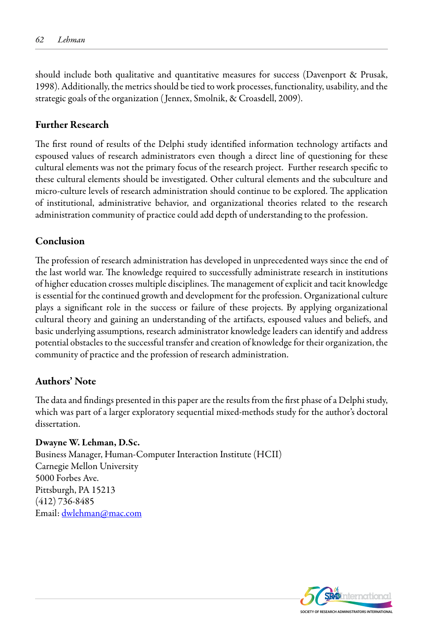should include both qualitative and quantitative measures for success (Davenport & Prusak, 1998). Additionally, the metrics should be tied to work processes, functionality, usability, and the strategic goals of the organization ( Jennex, Smolnik, & Croasdell, 2009).

#### Further Research

The first round of results of the Delphi study identified information technology artifacts and espoused values of research administrators even though a direct line of questioning for these cultural elements was not the primary focus of the research project. Further research specific to these cultural elements should be investigated. Other cultural elements and the subculture and micro-culture levels of research administration should continue to be explored. The application of institutional, administrative behavior, and organizational theories related to the research administration community of practice could add depth of understanding to the profession.

#### Conclusion

The profession of research administration has developed in unprecedented ways since the end of the last world war. The knowledge required to successfully administrate research in institutions of higher education crosses multiple disciplines. The management of explicit and tacit knowledge is essential for the continued growth and development for the profession. Organizational culture plays a significant role in the success or failure of these projects. By applying organizational cultural theory and gaining an understanding of the artifacts, espoused values and beliefs, and basic underlying assumptions, research administrator knowledge leaders can identify and address potential obstacles to the successful transfer and creation of knowledge for their organization, the community of practice and the profession of research administration.

#### Authors' Note

The data and findings presented in this paper are the results from the first phase of a Delphi study, which was part of a larger exploratory sequential mixed-methods study for the author's doctoral dissertation.

#### Dwayne W. Lehman, D.Sc.

Business Manager, Human-Computer Interaction Institute (HCII) Carnegie Mellon University 5000 Forbes Ave. Pittsburgh, PA 15213 (412) 736-8485 Email: dwlehman@mac.com

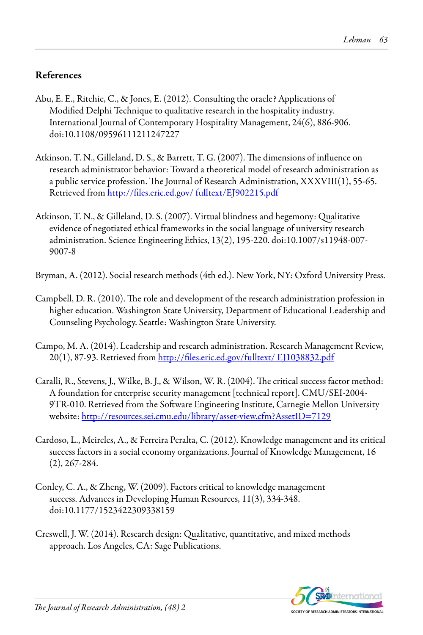## References

- Abu, E. E., Ritchie, C., & Jones, E. (2012). Consulting the oracle? Applications of Modified Delphi Technique to qualitative research in the hospitality industry. International Journal of Contemporary Hospitality Management, 24(6), 886-906. doi:10.1108/09596111211247227
- Atkinson, T. N., Gilleland, D. S., & Barrett, T. G. (2007). The dimensions of influence on research administrator behavior: Toward a theoretical model of research administration as a public service profession. The Journal of Research Administration, XXXVIII(1), 55-65. Retrieved from http://files.eric.ed.gov/ fulltext/EJ902215.pdf
- Atkinson, T. N., & Gilleland, D. S. (2007). Virtual blindness and hegemony: Qualitative evidence of negotiated ethical frameworks in the social language of university research administration. Science Engineering Ethics, 13(2), 195-220. doi:10.1007/s11948-007- 9007-8

Bryman, A. (2012). Social research methods (4th ed.). New York, NY: Oxford University Press.

- Campbell, D. R. (2010). The role and development of the research administration profession in higher education. Washington State University, Department of Educational Leadership and Counseling Psychology. Seattle: Washington State University.
- Campo, M. A. (2014). Leadership and research administration. Research Management Review, 20(1), 87-93. Retrieved from http://files.eric.ed.gov/fulltext/ EJ1038832.pdf
- Caralli, R., Stevens, J., Wilke, B. J., & Wilson, W. R. (2004). The critical success factor method: A foundation for enterprise security management [technical report]. CMU/SEI-2004- 9TR-010. Retrieved from the Software Engineering Institute, Carnegie Mellon University website: http://resources.sei.cmu.edu/library/asset-view.cfm?AssetID=7129
- Cardoso, L., Meireles, A., & Ferreira Peralta, C. (2012). Knowledge management and its critical success factors in a social economy organizations. Journal of Knowledge Management, 16 (2), 267-284.
- Conley, C. A., & Zheng, W. (2009). Factors critical to knowledge management success. Advances in Developing Human Resources, 11(3), 334-348. doi:10.1177/1523422309338159
- Creswell, J. W. (2014). Research design: Qualitative, quantitative, and mixed methods approach. Los Angeles, CA: Sage Publications.

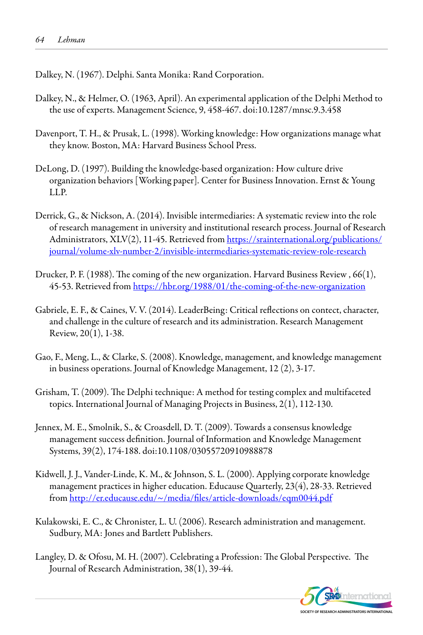Dalkey, N. (1967). Delphi. Santa Monika: Rand Corporation.

- Dalkey, N., & Helmer, O. (1963, April). An experimental application of the Delphi Method to the use of experts. Management Science, 9, 458-467. doi:10.1287/mnsc.9.3.458
- Davenport, T. H., & Prusak, L. (1998). Working knowledge: How organizations manage what they know. Boston, MA: Harvard Business School Press.
- DeLong, D. (1997). Building the knowledge-based organization: How culture drive organization behaviors [Working paper]. Center for Business Innovation. Ernst & Young LLP.
- Derrick, G., & Nickson, A. (2014). Invisible intermediaries: A systematic review into the role of research management in university and institutional research process. Journal of Research Administrators, XLV(2), 11-45. Retrieved from https://srainternational.org/publications/ journal/volume-xlv-number-2/invisible-intermediaries-systematic-review-role-research
- Drucker, P. F. (1988). The coming of the new organization. Harvard Business Review , 66(1), 45-53. Retrieved from https://hbr.org/1988/01/the-coming-of-the-new-organization
- Gabriele, E. F., & Caines, V. V. (2014). LeaderBeing: Critical reflections on contect, character, and challenge in the culture of research and its administration. Research Management Review, 20(1), 1-38.
- Gao, F., Meng, L., & Clarke, S. (2008). Knowledge, management, and knowledge management in business operations. Journal of Knowledge Management, 12 (2), 3-17.
- Grisham, T. (2009). The Delphi technique: A method for testing complex and multifaceted topics. International Journal of Managing Projects in Business, 2(1), 112-130.
- Jennex, M. E., Smolnik, S., & Croasdell, D. T. (2009). Towards a consensus knowledge management success definition. Journal of Information and Knowledge Management Systems, 39(2), 174-188. doi:10.1108/03055720910988878
- Kidwell, J. J., Vander-Linde, K. M., & Johnson, S. L. (2000). Applying corporate knowledge management practices in higher education. Educause Quarterly, 23(4), 28-33. Retrieved from http://er.educause.edu/~/media/files/article-downloads/eqm0044.pdf
- Kulakowski, E. C., & Chronister, L. U. (2006). Research administration and management. Sudbury, MA: Jones and Bartlett Publishers.
- Langley, D. & Ofosu, M. H. (2007). Celebrating a Profession: The Global Perspective. The Journal of Research Administration, 38(1), 39-44.

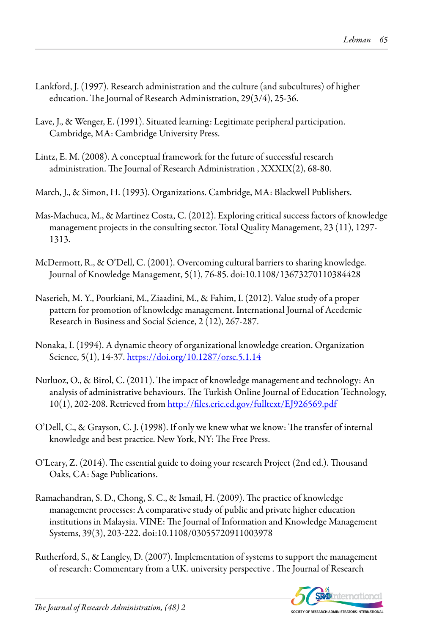- Lankford, J. (1997). Research administration and the culture (and subcultures) of higher education. The Journal of Research Administration, 29(3/4), 25-36.
- Lave, J., & Wenger, E. (1991). Situated learning: Legitimate peripheral participation. Cambridge, MA: Cambridge University Press.
- Lintz, E. M. (2008). A conceptual framework for the future of successful research administration. The Journal of Research Administration , XXXIX(2), 68-80.
- March, J., & Simon, H. (1993). Organizations. Cambridge, MA: Blackwell Publishers.
- Mas-Machuca, M., & Martinez Costa, C. (2012). Exploring critical success factors of knowledge management projects in the consulting sector. Total Quality Management, 23 (11), 1297- 1313.
- McDermott, R., & O'Dell, C. (2001). Overcoming cultural barriers to sharing knowledge. Journal of Knowledge Management, 5(1), 76-85. doi:10.1108/13673270110384428
- Naserieh, M. Y., Pourkiani, M., Ziaadini, M., & Fahim, I. (2012). Value study of a proper pattern for promotion of knowledge management. International Journal of Acedemic Research in Business and Social Science, 2 (12), 267-287.
- Nonaka, I. (1994). A dynamic theory of organizational knowledge creation. Organization Science, 5(1), 14-37. https://doi.org/10.1287/orsc.5.1.14
- Nurluoz, O., & Birol, C. (2011). The impact of knowledge management and technology: An analysis of administrative behaviours. The Turkish Online Journal of Education Technology, 10(1), 202-208. Retrieved from <u>http://files.eric.ed.gov/fulltext/EJ926569.pdf</u>
- O'Dell, C., & Grayson, C. J. (1998). If only we knew what we know: The transfer of internal knowledge and best practice. New York, NY: The Free Press.
- O'Leary, Z. (2014). The essential guide to doing your research Project (2nd ed.). Thousand Oaks, CA: Sage Publications.
- Ramachandran, S. D., Chong, S. C., & Ismail, H. (2009). The practice of knowledge management processes: A comparative study of public and private higher education institutions in Malaysia. VINE: The Journal of Information and Knowledge Management Systems, 39(3), 203-222. doi:10.1108/03055720911003978
- Rutherford, S., & Langley, D. (2007). Implementation of systems to support the management of research: Commentary from a U.K. university perspective . The Journal of Research